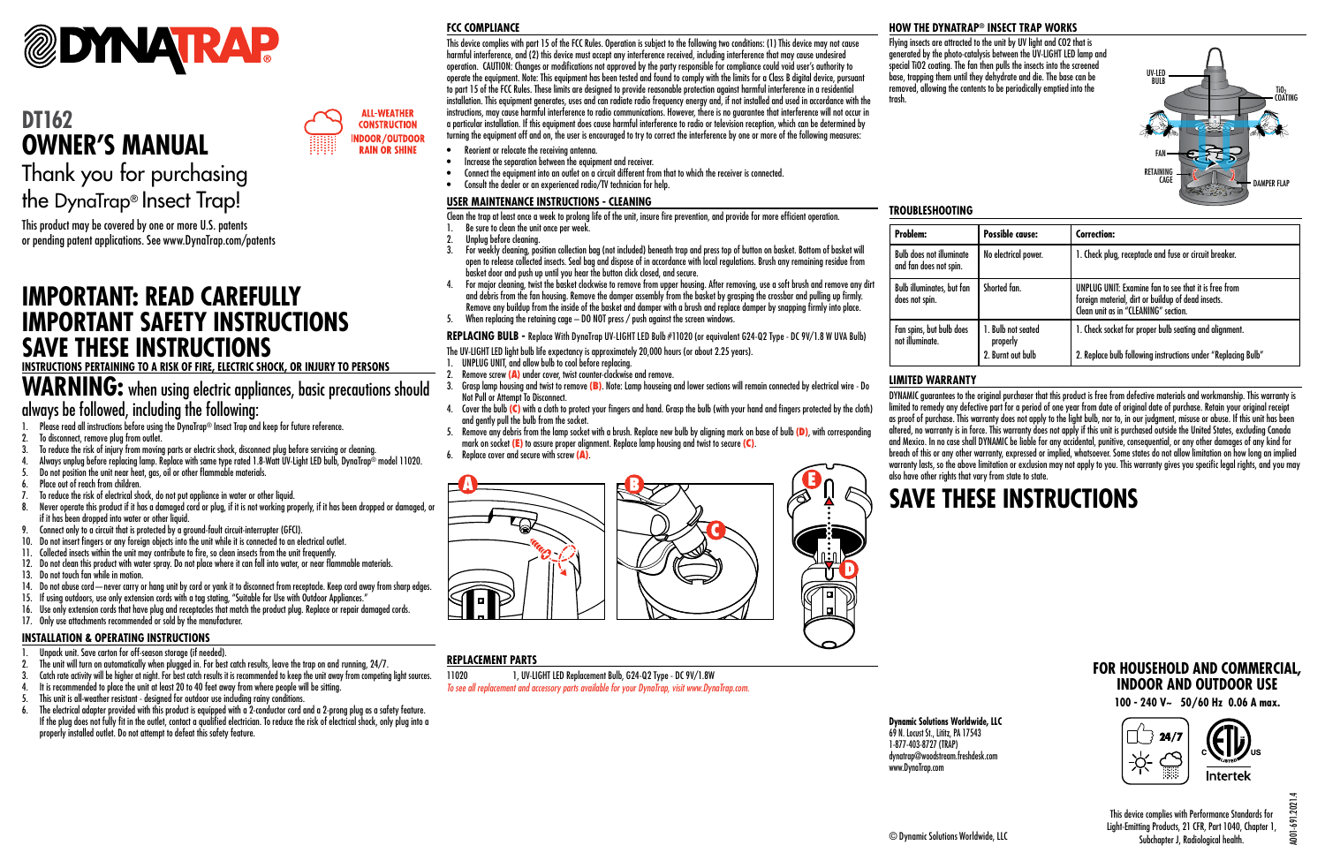

## **DT162 OWNER'S MANUAL**

Thank you for purchasing the DynaTrap® Insect Trap!

This product may be covered by one or more U.S. patents or pending patent applications. See www.DynaTrap.com/patents

### **IMPORTANT: READ CAREFULLY IMPORTANT SAFETY INSTRUCTIONS SAVE THESE INSTRUCTIONS**

#### **INSTRUCTIONS PERTAINING TO A RISK OF FIRE, ELECTRIC SHOCK, OR INJURY TO PERSONS**

### **WARNING:** when using electric appliances, basic precautions should always be followed, including the following:

- 1. Please read all instructions before using the DynaTrap® Insect Trap and keep for future reference.
- 2. To disconnect, remove plug from outlet.
- 3. To reduce the risk of injury from moving parts or electric shock, disconnect plug before servicing or cleaning.
- 4. Always unplug before replacing lamp. Replace with same type rated 1.8-Watt UV-Light LED bulb, DynaTrap® model 11020.
- 5. Do not position the unit near heat, gas, oil or other flammable materials.
- 6. Place out of reach from children.
- 7. To reduce the risk of electrical shock, do not put appliance in water or other liquid.
- 8. Never operate this product if it has a damaged cord or plug, if it is not working properly, if it has been dropped or damaged, or if it has been dropped into water or other liquid.
- 9. Connect only to a circuit that is protected by a ground-fault circuit-interrupter (GFCI).
- 10. Do not insert fingers or any foreign objects into the unit while it is connected to an electrical outlet.
- 11. Collected insects within the unit may contribute to fire, so clean insects from the unit frequently.
- 12. Do not clean this product with water spray. Do not place where it can fall into water, or near flammable materials.
- 13. Do not touch fan while in motion.
- 14. Do not abuse cord—never carry or hang unit by cord or yank it to disconnect from receptacle. Keep cord away from sharp edges.
- 15. If using outdoors, use only extension cords with a tag stating, "Suitable for Use with Outdoor Appliances."
- 16. Use only extension cords that have plug and receptacles that match the product plug. Replace or repair damaged cords.
- 17. Only use attachments recommended or sold by the manufacturer.

### **INSTALLATION & OPERATING INSTRUCTIONS**

- 1. Unpack unit. Save carton for off-season storage (if needed).
- 2. The unit will turn on automatically when plugged in. For best catch results, leave the trap on and running, 24/7.
- 3. Catch rate activity will be higher at night. For best catch results it is recommended to keep the unit away from competing light sources.
- 4. It is recommended to place the unit at least 20 to 40 feet away from where people will be sitting.
- 5. This unit is all-weather resistant designed for outdoor use including rainy conditions.
- 
- 6. The electrical adapter provided with this product is equipped with a 2-conductor cord and a 2-prong plug as a safety feature. If the plug does not fully fit in the outlet, contact a qualified electrician. To reduce the risk of electrical shock, only plug into a properly installed outlet. Do not attempt to defeat this safety feature.

### **FCC COMPLIANCE**

**ALL-WEATHER CONSTRUCTION INDOOR/OUTDOOR RAIN OR SHINE** 

This device complies with part 15 of the FCC Rules. Operation is subject to the following two conditions: (1) This device may not cause harmful interference, and (2) this device must accept any interference received, including interference that may cause undesired operation. CAUTION: Changes or modifications not approved by the party responsible for compliance could void user's authority to operate the equipment. Note: This equipment has been tested and found to comply with the limits for a Class B digital device, pursuant to part 15 of the FCC Rules. These limits are designed to provide reasonable protection against harmful interference in a residential installation. This equipment generates, uses and can radiate radio frequency energy and, if not installed and used in accordance with the instructions, may cause harmful interference to radio communications. However, there is no guarantee that interference will not occur in a particular installation. If this equipment does cause harmful interference to radio or television reception, which can be determined by turning the equipment off and on, the user is encouraged to try to correct the interference by one or more of the following measures:

- Reorient or relocate the receiving antenna.
- Increase the separation between the equipment and receiver.
- Connect the equipment into an outlet on a circuit different from that to which the receiver is connected.
- Consult the dealer or an experienced radio/TV technician for help.

### **USER MAINTENANCE INSTRUCTIONS - CLEANING**

Clean the trap at least once a week to prolong life of the unit, insure fire prevention, and provide for more efficient operation.

- 1. Be sure to clean the unit once per week.
- 2. Unplug before cleaning.
- 3. For weekly cleaning, position collection bag (not included) beneath trap and press top of button on basket. Bottom of basket will open to release collected insects. Seal bag and dispose of in accordance with local regulations. Brush any remaining residue from basket door and push up until you hear the button click closed, and secure.
- 4. For major cleaning, twist the basket clockwise to remove from upper housing. After removing, use a soft brush and remove any dirt and debris from the fan housing. Remove the damper assembly from the basket by grasping the crossbar and pulling up firmly. Remove any buildup from the inside of the basket and damper with a brush and replace damper by snapping firmly into place.
- 5. When replacing the retaining cage DO NOT press / push against the screen windows.

**REPLACING BULB -** Replace With DynaTrap UV-LIGHT LED Bulb #11020 (or equivalent G24-Q2 Type - DC 9V/1.8 W UVA Bulb)

The UV-LIGHT LED light bulb life expectancy is approximately 20,000 hours (or about 2.25 years).

- UNPLUG UNIT, and allow bulb to cool before replacing.
- 2. Remove screw **(**A**)** under cover, twist counter-clockwise and remove.
- 3. Grasp lamp housing and twist to remove **(**B**)**. Note: Lamp houseing and lower sections will remain connected by electrical wire Do Not Pull or Attempt To Disconnect.
- 4. Cover the bulb **(**C**)** with a cloth to protect your fingers and hand. Grasp the bulb (with your hand and fingers protected by the cloth) and gently pull the bulb from the socket.
- 5. Remove any debris from the lamp socket with a brush. Replace new bulb by aligning mark on base of bulb **(**D**)**, with corresponding mark on socket **(**E**)** to assure proper alignment. Replace lamp housing and twist to secure **(**C**)**.
- 6. Replace cover and secure with screw **(**A**)**.



### **REPLACEMENT PARTS**

11020 1, UV-LIGHT LED Replacement Bulb, G24-Q2 Type - DC 9V/1.8W *To see all replacement and accessory parts available for your DynaTrap, visit www.DynaTrap.com.*

### **HOW THE DYNATRAP® INSECT TRAP WORKS**

Flying insects are attracted to the unit by UV light and CO2 that is generated by the photo-catalysis between the UV-LIGHT LED lamp and special TiO2 coating. The fan then pulls the insects into the screened base, trapping them until they dehydrate and die. The base can be removed, allowing the contents to be periodically emptied into the trash.



### **TROUBLESHOOTING**

| Problem:                                                  | Possible cause:                                     | <b>Correction:</b>                                                                                                                                 |
|-----------------------------------------------------------|-----------------------------------------------------|----------------------------------------------------------------------------------------------------------------------------------------------------|
| <b>Bulb does not illuminate</b><br>and fan does not spin. | No electrical power.                                | 1. Check plug, receptacle and fuse or circuit breaker.                                                                                             |
| <b>Bulb illuminates, but fan</b><br>does not spin.        | Shorted fan.                                        | UNPLUG UNIT: Examine fan to see that it is free from<br>foreign material, dirt or buildup of dead insects.<br>Clean unit as in "CLEANING" section. |
| Fan spins, but bulb does<br>not illuminate.               | 1. Bulb not seated<br>properly<br>2. Burnt out bulb | 1. Check socket for proper bulb seating and alignment.<br>2. Replace bulb following instructions under "Replacing Bulb"                            |

### **LIMITED WARRANTY**

DYNAMIC guarantees to the original purchaser that this product is free from defective materials and workmanship. This warranty is limited to remedy any defective part for a period of one year from date of original date of purchase. Retain your original receipt as proof of purchase. This warranty does not apply to the light bulb, nor to, in our judgment, misuse or abuse. If this unit has been altered, no warranty is in force. This warranty does not apply if this unit is purchased outside the United States, excluding Canada and Mexico. In no case shall DYNAMIC be liable for any accidental, punitive, consequential, or any other damages of any kind for breach of this or any other warranty, expressed or implied, whatsoever. Some states do not allow limitation on how long an implied warranty lasts, so the above limitation or exclusion may not apply to you. This warranty gives you specific legal rights, and you may also have other rights that vary from state to state.

# **SAVE THESE INSTRUCTIONS**

**Dynamic Solutions Worldwide, LLC** 69 N. Locust St., Lititz, PA 17543 1-877-403-8727 (TRAP) dynatrap@woodstream.freshdesk.com www.DynaTrap.com



**FOR HOUSEHOLD AND COMMERCIAL, INDOOR AND OUTDOOR USE**

A001-691.2021.4

 $(001 - 691.2021)$